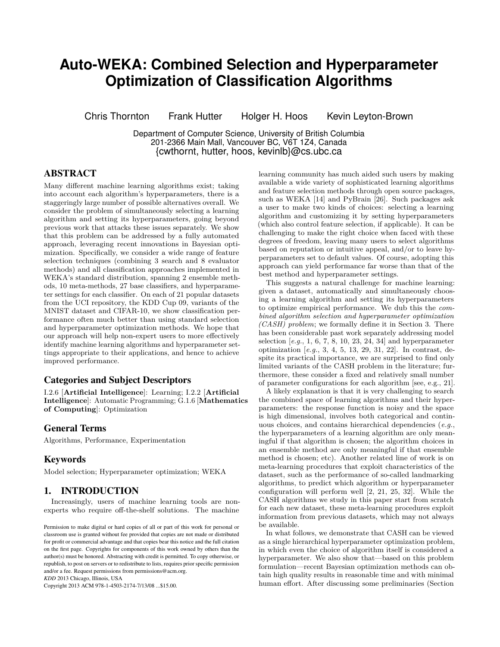# **Auto-WEKA: Combined Selection and Hyperparameter Optimization of Classification Algorithms**

Chris Thornton Frank Hutter Holger H. Hoos Kevin Leyton-Brown

Department of Computer Science, University of British Columbia 201-2366 Main Mall, Vancouver BC, V6T 1Z4, Canada {cwthornt, hutter, hoos, kevinlb}@cs.ubc.ca

# ABSTRACT

Many different machine learning algorithms exist; taking into account each algorithm's hyperparameters, there is a staggeringly large number of possible alternatives overall. We consider the problem of simultaneously selecting a learning algorithm and setting its hyperparameters, going beyond previous work that attacks these issues separately. We show that this problem can be addressed by a fully automated approach, leveraging recent innovations in Bayesian optimization. Specifically, we consider a wide range of feature selection techniques (combining 3 search and 8 evaluator methods) and all classification approaches implemented in WEKA's standard distribution, spanning 2 ensemble methods, 10 meta-methods, 27 base classifiers, and hyperparameter settings for each classifier. On each of 21 popular datasets from the UCI repository, the KDD Cup 09, variants of the MNIST dataset and CIFAR-10, we show classification performance often much better than using standard selection and hyperparameter optimization methods. We hope that our approach will help non-expert users to more effectively identify machine learning algorithms and hyperparameter settings appropriate to their applications, and hence to achieve improved performance.

#### Categories and Subject Descriptors

I.2.6 [**Artificial Intelligence**]: Learning; I.2.2 [**Artificial Intelligence**]: Automatic Programming; G.1.6 [**Mathematics of Computing**]: Optimization

# General Terms

Algorithms, Performance, Experimentation

#### Keywords

Model selection; Hyperparameter optimization; WEKA

# 1. INTRODUCTION

Increasingly, users of machine learning tools are nonexperts who require off-the-shelf solutions. The machine

Copyright 2013 ACM 978-1-4503-2174-7/13/08 ...\$15.00.

learning community has much aided such users by making available a wide variety of sophisticated learning algorithms and feature selection methods through open source packages, such as WEKA [14] and PyBrain [26]. Such packages ask a user to make two kinds of choices: selecting a learning algorithm and customizing it by setting hyperparameters (which also control feature selection, if applicable). It can be challenging to make the right choice when faced with these degrees of freedom, leaving many users to select algorithms based on reputation or intuitive appeal, and/or to leave hyperparameters set to default values. Of course, adopting this approach can yield performance far worse than that of the best method and hyperparameter settings.

This suggests a natural challenge for machine learning: given a dataset, automatically and simultaneously choosing a learning algorithm and setting its hyperparameters to optimize empirical performance. We dub this the *combined algorithm selection and hyperparameter optimization (CASH) problem*; we formally define it in Section 3. There has been considerable past work separately addressing model selection [*e.g.*, 1, 6, 7, 8, 10, 23, 24, 34] and hyperparameter optimization [*e.g.*, 3, 4, 5, 13, 29, 31, 22]. In contrast, despite its practical importance, we are surprised to find only limited variants of the CASH problem in the literature; furthermore, these consider a fixed and relatively small number of parameter configurations for each algorithm [see, e.g., 21].

A likely explanation is that it is very challenging to search the combined space of learning algorithms and their hyperparameters: the response function is noisy and the space is high dimensional, involves both categorical and continuous choices, and contains hierarchical dependencies (*e.g.*, the hyperparameters of a learning algorithm are only meaningful if that algorithm is chosen; the algorithm choices in an ensemble method are only meaningful if that ensemble method is chosen; etc). Another related line of work is on meta-learning procedures that exploit characteristics of the dataset, such as the performance of so-called landmarking algorithms, to predict which algorithm or hyperparameter configuration will perform well [2, 21, 25, 32]. While the CASH algorithms we study in this paper start from scratch for each new dataset, these meta-learning procedures exploit information from previous datasets, which may not always be available.

In what follows, we demonstrate that CASH can be viewed as a single hierarchical hyperparameter optimization problem, in which even the choice of algorithm itself is considered a hyperparameter. We also show that—based on this problem formulation—recent Bayesian optimization methods can obtain high quality results in reasonable time and with minimal human effort. After discussing some preliminaries (Section

Permission to make digital or hard copies of all or part of this work for personal or classroom use is granted without fee provided that copies are not made or distributed for profit or commercial advantage and that copies bear this notice and the full citation on the first page. Copyrights for components of this work owned by others than the author(s) must be honored. Abstracting with credit is permitted. To copy otherwise, or republish, to post on servers or to redistribute to lists, requires prior specific permission and/or a fee. Request permissions from permissions@acm.org. *KDD* 2013 Chicago, Illinois, USA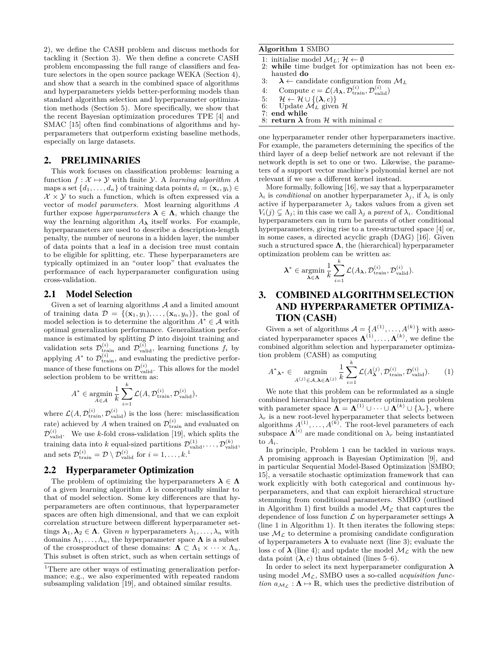2), we define the CASH problem and discuss methods for tackling it (Section 3). We then define a concrete CASH problem encompassing the full range of classifiers and feature selectors in the open source package WEKA (Section 4), and show that a search in the combined space of algorithms and hyperparameters yields better-performing models than standard algorithm selection and hyperparameter optimization methods (Section 5). More specifically, we show that the recent Bayesian optimization procedures TPE [4] and SMAC [15] often find combinations of algorithms and hyperparameters that outperform existing baseline methods, especially on large datasets.

## 2. PRELIMINARIES

This work focuses on classification problems: learning a function  $f: \mathcal{X} \mapsto \mathcal{Y}$  with finite  $\mathcal{Y}$ . A *learning algorithm A* maps a set  $\{d_1, \ldots, d_n\}$  of training data points  $d_i = (\mathbf{x}_i, y_i) \in$  $\mathcal{X} \times \mathcal{Y}$  to such a function, which is often expressed via a vector of *model parameters*. Most learning algorithms *A* further expose *hyperparameters*  $\lambda \in \Lambda$ , which change the way the learning algorithm  $A_{\lambda}$  itself works. For example, hyperparameters are used to describe a description-length penalty, the number of neurons in a hidden layer, the number of data points that a leaf in a decision tree must contain to be eligible for splitting, etc. These hyperparameters are typically optimized in an "outer loop" that evaluates the performance of each hyperparameter configuration using cross-validation.

## 2.1 Model Selection

Given a set of learning algorithms  $A$  and a limited amount of training data  $\mathcal{D} = \{(\mathbf{x}_1, y_1), \ldots, (\mathbf{x}_n, y_n)\}\$ , the goal of model selection is to determine the algorithm  $A^* \in \mathcal{A}$  with optimal generalization performance. Generalization performance is estimated by splitting  $D$  into disjoint training and validation sets  $\mathcal{D}_{\text{train}}^{(i)}$  and  $\mathcal{D}_{\text{valid}}^{(i)}$ , learning functions  $f_i$  by applying  $A^*$  to  $\mathcal{D}_{\text{train}}^{(i)}$ , and evaluating the predictive performance of these functions on  $\mathcal{D}_{\text{valid}}^{(i)}$ . This allows for the model selection problem to be written as:

$$
A^* \in \operatorname*{argmin}_{A \in \mathcal{A}} \frac{1}{k} \sum_{i=1}^k \mathcal{L}(A, \mathcal{D}_{\text{train}}^{(i)}, \mathcal{D}_{\text{valid}}^{(i)}),
$$

where  $\mathcal{L}(A, \mathcal{D}_{\text{train}}^{(i)}, \mathcal{D}_{\text{valid}}^{(i)})$  is the loss (here: misclassification rate) achieved by  $A$  when trained on  $\mathcal{D}_{\text{train}}^{(i)}$  and evaluated on  $\mathcal{D}_{\text{valid}}^{(i)}$ . We use *k*-fold cross-validation [19], which splits the training data into *k* equal-sized partitions  $\mathcal{D}_{valid}^{(1)}, \ldots, \mathcal{D}_{valid}^{(k)}$ and sets  $\mathcal{D}_{\text{train}}^{(i)} = \mathcal{D} \setminus \mathcal{D}_{\text{valid}}^{(i)}$  for  $i = 1, ..., k$ .<sup>1</sup>

#### 2.2 Hyperparameter Optimization

The problem of optimizing the hyperparameters  $\lambda \in \Lambda$ of a given learning algorithm *A* is conceptually similar to that of model selection. Some key differences are that hyperparameters are often continuous, that hyperparameter spaces are often high dimensional, and that we can exploit correlation structure between different hyperparameter settings  $\lambda_1, \lambda_2 \in \Lambda$ . Given *n* hyperparameters  $\lambda_1, \ldots, \lambda_n$  with domains  $\Lambda_1, \ldots, \Lambda_n$ , the hyperparameter space  $\Lambda$  is a subset of the crossproduct of these domains:  $\mathbf{\Lambda} \subset \Lambda_1 \times \cdots \times \Lambda_n$ . This subset is often strict, such as when certain settings of

#### **Algorithm 1** SMBO

- 1: initialise model  $M_L$ ;  $\mathcal{H} \leftarrow \emptyset$ <br>2: **while** time budget for optical
- while time budget for optimization has not been exhausted **do**
- 3:  $\lambda \leftarrow$  candidate configuration from  $\mathcal{M}_L$
- 4: Compute  $c = \mathcal{L}(A_{\lambda}, \mathcal{D}_{\text{train}}^{(i)}, \mathcal{D}_{\text{valid}}^{(i)})$
- 5:  $\mathcal{H} \leftarrow \mathcal{H} \cup \{(\lambda, c)\}\$
- 6: Update  $\mathcal{M}_L$  given  $\mathcal{H}$
- 7: **end while**
- 8: **return**  $\lambda$  from  $\mathcal{H}$  with minimal  $c$

one hyperparameter render other hyperparameters inactive. For example, the parameters determining the specifics of the third layer of a deep belief network are not relevant if the network depth is set to one or two. Likewise, the parameters of a support vector machine's polynomial kernel are not relevant if we use a different kernel instead.

More formally, following [16], we say that a hyperparameter *λ*<sup>*i*</sup> is *conditional* on another hyperparameter  $λ<sub>j</sub>$ , if  $λ<sub>i</sub>$  is only active if hyperparameter  $\lambda_j$  takes values from a given set  $V_i(j) \subsetneq \Lambda_j$ ; in this case we call  $\lambda_j$  a *parent* of  $\lambda_i$ . Conditional hyperparameters can in turn be parents of other conditional hyperparameters, giving rise to a tree-structured space [4] or, in some cases, a directed acyclic graph (DAG) [16]. Given such a structured space  $\Lambda$ , the (hierarchical) hyperparameter optimization problem can be written as:

$$
\boldsymbol{\lambda}^* \in \operatorname*{argmin}_{\boldsymbol{\lambda} \in \boldsymbol{\Lambda}} \frac{1}{k} \sum_{i=1}^k \mathcal{L}(A_{\boldsymbol{\lambda}}, \mathcal{D}_{\text{train}}^{(i)}, \mathcal{D}_{\text{valid}}^{(i)}).
$$

# 3. COMBINED ALGORITHM SELECTION AND HYPERPARAMETER OPTIMIZA-TION (CASH)

Given a set of algorithms  $A = \{A^{(1)}, \ldots, A^{(k)}\}$  with associated hyperparameter spaces  $\Lambda^{(1)}, \ldots, \Lambda^{(k)}$ , we define the combined algorithm selection and hyperparameter optimization problem (CASH) as computing

$$
A^*_{\lambda^*} \in \operatorname*{argmin}_{A^{(j)} \in \mathcal{A}, \lambda \in \Lambda^{(j)}} \frac{1}{k} \sum_{i=1}^k \mathcal{L}(A^{(j)}_{\lambda}, \mathcal{D}_{\text{train}}^{(i)}, \mathcal{D}_{\text{valid}}^{(i)}). \tag{1}
$$

We note that this problem can be reformulated as a single combined hierarchical hyperparameter optimization problem with parameter space  $\Lambda = \Lambda^{(1)} \cup \cdots \cup \Lambda^{(k)} \cup \{\lambda_r\}$ , where  $\lambda_r$  is a new root-level hyperparameter that selects between algorithms  $A^{(1)}, \ldots, A^{(k)}$ . The root-level parameters of each subspace  $\Lambda^{(i)}$  are made conditional on  $\lambda_r$  being instantiated to  $A_i$ .

In principle, Problem 1 can be tackled in various ways. A promising approach is Bayesian Optimization [9], and in particular Sequential Model-Based Optimization [SMBO; 15], a versatile stochastic optimization framework that can work explicitly with both categorical and continuous hyperparameters, and that can exploit hierarchical structure stemming from conditional parameters. SMBO (outlined in Algorithm 1) first builds a model  $\mathcal{M}_{\mathcal{L}}$  that captures the dependence of loss function  $\mathcal L$  on hyperparameter settings  $\boldsymbol \lambda$ (line 1 in Algorithm 1). It then iterates the following steps: use  $\mathcal{M}_{\mathcal{L}}$  to determine a promising candidate configuration of hyperparameters  $\lambda$  to evaluate next (line 3); evaluate the loss *c* of  $\lambda$  (line 4); and update the model  $M_{\mathcal{L}}$  with the new data point  $(\lambda, c)$  thus obtained (lines 5–6).

In order to select its next hyperparameter configuration  $\lambda$ using model  $M_{\mathcal{L}}$ , SMBO uses a so-called *acquisition function*  $a_{\mathcal{M}_\mathcal{L}} : \Lambda \mapsto \mathbb{R}$ , which uses the predictive distribution of

<sup>1</sup>There are other ways of estimating generalization performance; e.g., we also experimented with repeated random subsampling validation [19], and obtained similar results.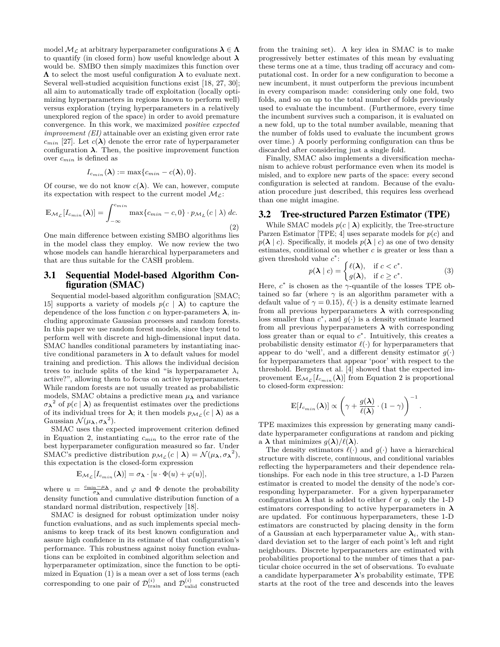model  $\mathcal{M}_{\mathcal{L}}$  at arbitrary hyperparameter configurations  $\lambda \in \Lambda$ to quantify (in closed form) how useful knowledge about  $\lambda$ would be. SMBO then simply maximizes this function over  $\Lambda$  to select the most useful configuration  $\lambda$  to evaluate next. Several well-studied acquisition functions exist [18, 27, 30]; all aim to automatically trade off exploitation (locally optimizing hyperparameters in regions known to perform well) versus exploration (trying hyperparameters in a relatively unexplored region of the space) in order to avoid premature convergence. In this work, we maximized *positive expected improvement (EI)* attainable over an existing given error rate  $c_{min}$  [27]. Let  $c(\lambda)$  denote the error rate of hyperparameter configuration  $\lambda$ . Then, the positive improvement function over *cmin* is defined as

$$
I_{c_{min}}(\boldsymbol{\lambda}):=\max\{c_{min}-c(\boldsymbol{\lambda}),0\}.
$$

Of course, we do not know  $c(\lambda)$ . We can, however, compute its expectation with respect to the current model  $\mathcal{M}_{\mathcal{L}}$ :

$$
\mathbb{E}_{\mathcal{M}_{\mathcal{L}}}[I_{c_{min}}(\boldsymbol{\lambda})] = \int_{-\infty}^{c_{min}} \max\{c_{min} - c, 0\} \cdot p_{\mathcal{M}_{\mathcal{L}}}(c \mid \boldsymbol{\lambda}) \, dc. \tag{2}
$$

One main difference between existing SMBO algorithms lies in the model class they employ. We now review the two whose models can handle hierarchical hyperparameters and that are thus suitable for the CASH problem.

# 3.1 Sequential Model-based Algorithm Configuration (SMAC)

Sequential model-based algorithm configuration [SMAC; 15] supports a variety of models  $p(c | \lambda)$  to capture the dependence of the loss function *c* on hyper-parameters  $\lambda$ , including approximate Gaussian processes and random forests. In this paper we use random forest models, since they tend to perform well with discrete and high-dimensional input data. SMAC handles conditional parameters by instantiating inactive conditional parameters in  $\lambda$  to default values for model training and prediction. This allows the individual decision trees to include splits of the kind "is hyperparameter  $\lambda_i$ active?", allowing them to focus on active hyperparameters. While random forests are not usually treated as probabilistic models, SMAC obtains a predictive mean  $\mu_{\lambda}$  and variance  $\sigma \lambda^2$  of  $p(c | \lambda)$  as frequentist estimates over the predictions of its individual trees for  $\lambda$ ; it then models  $p_{\mathcal{M}_\mathcal{L}}(c \mid \lambda)$  as a Gaussian  $\mathcal{N}(\mu_{\lambda}, \sigma_{\lambda}^2)$ .

SMAC uses the expected improvement criterion defined in Equation 2, instantiating *cmin* to the error rate of the best hyperparameter configuration measured so far. Under SMAC's predictive distribution  $p_{\mathcal{M}_{\mathcal{L}}}(c | \lambda) = \mathcal{N}(\mu_{\lambda}, \sigma_{\lambda}^2)$ , this expectation is the closed-form expression

$$
\mathbb{E}_{\mathcal{M}_{\mathcal{L}}}[I_{c_{min}}(\lambda)] = \sigma_{\lambda} \cdot [u \cdot \Phi(u) + \varphi(u)],
$$

where  $u = \frac{c_{\min} - \mu_{\lambda}}{\sigma_{\lambda}}$ , and  $\varphi$  and  $\Phi$  denote the probability density function and cumulative distribution function of a standard normal distribution, respectively [18].

SMAC is designed for robust optimization under noisy function evaluations, and as such implements special mechanisms to keep track of its best known configuration and assure high confidence in its estimate of that configuration's performance. This robustness against noisy function evaluations can be exploited in combined algorithm selection and hyperparameter optimization, since the function to be optimized in Equation (1) is a mean over a set of loss terms (each corresponding to one pair of  $\mathcal{D}_{\text{train}}^{(i)}$  and  $\mathcal{D}_{\text{valid}}^{(i)}$  constructed

from the training set). A key idea in SMAC is to make progressively better estimates of this mean by evaluating these terms one at a time, thus trading off accuracy and computational cost. In order for a new configuration to become a new incumbent, it must outperform the previous incumbent in every comparison made: considering only one fold, two folds, and so on up to the total number of folds previously used to evaluate the incumbent. (Furthermore, every time the incumbent survives such a comparison, it is evaluated on a new fold, up to the total number available, meaning that the number of folds used to evaluate the incumbent grows over time.) A poorly performing configuration can thus be discarded after considering just a single fold.

Finally, SMAC also implements a diversification mechanism to achieve robust performance even when its model is misled, and to explore new parts of the space: every second configuration is selected at random. Because of the evaluation procedure just described, this requires less overhead than one might imagine.

#### 3.2 Tree-structured Parzen Estimator (TPE)

While SMAC models  $p(c | \lambda)$  explicitly, the Tree-structure Parzen Estimator [TPE; 4] uses separate models for  $p(c)$  and  $p(\lambda | c)$ . Specifically, it models  $p(\lambda | c)$  as one of two density estimates, conditional on whether *c* is greater or less than a given threshold value  $c^*$ :

$$
p(\boldsymbol{\lambda} \mid c) = \begin{cases} \ell(\boldsymbol{\lambda}), & \text{if } c < c^*. \\ g(\boldsymbol{\lambda}), & \text{if } c \ge c^*. \end{cases} \tag{3}
$$

Here,  $c^*$  is chosen as the  $\gamma$ -quantile of the losses TPE obtained so far (where  $\gamma$  is an algorithm parameter with a default value of  $\gamma = 0.15$ ,  $\ell(\cdot)$  is a density estimate learned from all previous hyperparameters  $\lambda$  with corresponding loss smaller than  $c^*$ , and  $g(\cdot)$  is a density estimate learned from all previous hyperparameters  $\lambda$  with corresponding loss greater than or equal to  $c^*$ . Intuitively, this creates a probabilistic density estimator  $\ell(\cdot)$  for hyperparameters that appear to do 'well', and a different density estimator  $g(\cdot)$ for hyperparameters that appear 'poor' with respect to the threshold. Bergstra et al. [4] showed that the expected improvement  $\mathbb{E}_{\mathcal{M}_{\mathcal{L}}}[I_{c_{min}}(\boldsymbol{\lambda})]$  from Equation 2 is proportional to closed-form expression:

$$
\mathbb{E}[I_{c_{min}}(\boldsymbol{\lambda})] \propto \left(\gamma + \frac{g(\boldsymbol{\lambda})}{\ell(\boldsymbol{\lambda})} \cdot (1 - \gamma)\right)^{-1}
$$

*.*

TPE maximizes this expression by generating many candidate hyperparameter configurations at random and picking a  $\lambda$  that minimizes  $q(\lambda)/\ell(\lambda)$ .

The density estimators  $\ell(\cdot)$  and  $g(\cdot)$  have a hierarchical structure with discrete, continuous, and conditional variables reflecting the hyperparameters and their dependence relationships. For each node in this tree structure, a 1-D Parzen estimator is created to model the density of the node's corresponding hyperparameter. For a given hyperparameter configuration  $\lambda$  that is added to either  $\ell$  or *q*, only the 1-D estimators corresponding to active hyperparameters in  $\lambda$ are updated. For continuous hyperparameters, these 1-D estimators are constructed by placing density in the form of a Gaussian at each hyperparameter value  $\lambda_i$ , with standard deviation set to the larger of each point's left and right neighbours. Discrete hyperparameters are estimated with probabilities proportional to the number of times that a particular choice occurred in the set of observations. To evaluate a candidate hyperparameter  $\lambda$ 's probability estimate, TPE starts at the root of the tree and descends into the leaves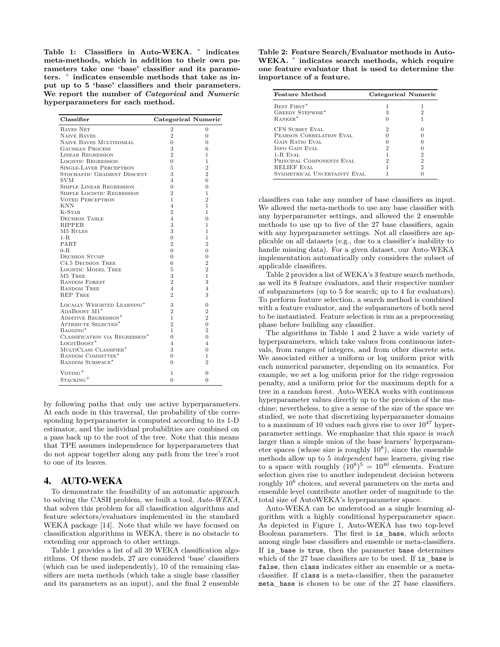**Table 1: Classifiers in Auto-WEKA.** <sup>∗</sup> **indicates meta-methods, which in addition to their own parameters take one 'base' classifier and its parameters.** <sup>+</sup> **indicates ensemble methods that take as input up to 5 'base' classifiers and their parameters. We report the number of** *Categorical* **and** *Numeric* **hyperparameters for each method.**

| Classifier                        | Categorical Numeric |                |
|-----------------------------------|---------------------|----------------|
| <b>BAYES NET</b>                  | $\overline{2}$      | $\theta$       |
| <b>NAIVE BAYES</b>                | $\overline{2}$      | 0              |
| NAIVE BAYES MULTINOMIAL           | $\overline{0}$      | 0              |
| <b>GAUSSIAN PROCESS</b>           | 3                   | 6              |
| <b>LINEAR REGRESSION</b>          | $\overline{2}$      | 1              |
| <b>LOGISTIC REGRESSION</b>        | 0                   | 1              |
| SINGLE-LAYER PERCEPTRON           | 5                   | $\overline{2}$ |
| STOCHASTIC GRADIENT DESCENT       | 3                   | $\overline{2}$ |
| SVM                               | 4                   | 6              |
| <b>SIMPLE LINEAR REGRESSION</b>   | $\theta$            | 0              |
| <b>SIMPLE LOGISTIC REGRESSION</b> | $\overline{2}$      | 1              |
| <b>VOTED PERCEPTRON</b>           | 1                   | $\overline{2}$ |
| <b>KNN</b>                        | 4                   | 1              |
| K-STAR                            | $\overline{2}$      | 1              |
| <b>DECISION TABLE</b>             | $\overline{4}$      | 0              |
| RIPPER                            | 3                   | 1              |
| M5 RULES                          | 3                   | 1              |
| $1-R$                             | $\Omega$            | 1              |
| PART                              | $\overline{2}$      | $\overline{2}$ |
| $0 - R$                           | $\theta$            | 0              |
| <b>DECISION STUMP</b>             | 0                   | 0              |
| <b>C4.5 DECISION TREE</b>         | 6                   | $\overline{2}$ |
| <b>LOGISTIC MODEL TREE</b>        | 5                   | $\overline{2}$ |
| M5 TREE                           | 3                   | 1              |
| <b>RANDOM FOREST</b>              | $\overline{2}$      | 3              |
| <b>RANDOM TREE</b>                | 4                   | 4              |
| <b>REP TREE</b>                   | $\overline{2}$      | 3              |
| LOCALLY WEIGHTED LEARNING*        | 3                   | 0              |
| ADABOOST M1*                      | $\overline{2}$      | $\overline{2}$ |
| <b>ADDITIVE REGRESSION*</b>       | 1                   | $\overline{2}$ |
| <b>ATTRIBUTE SELECTED*</b>        | $\overline{2}$      | $\overline{0}$ |
| BAGGING*                          | 1                   | $\overline{2}$ |
| CLASSIFICATION VIA REGRESSION*    | $\theta$            | 0              |
| LOGITBOOST*                       | 4                   | 4              |
| MULTICLASS CLASSIFIER*            | 3                   | 0              |
| RANDOM COMMITTEE*                 | $\theta$            | 1              |
| RANDOM SUBSPACE*                  | 0                   | $^{2}$         |
| $VOTING+$                         | 1                   | 0              |
| $STACKING$ <sup>+</sup>           | $\theta$            | 0              |

by following paths that only use active hyperparameters. At each node in this traversal, the probability of the corresponding hyperparameter is computed according to its 1-D estimator, and the individual probabilities are combined on a pass back up to the root of the tree. Note that this means that TPE assumes independence for hyperparameters that do not appear together along any path from the tree's root to one of its leaves.

#### 4. AUTO-WEKA

To demonstrate the feasibility of an automatic approach to solving the CASH problem, we built a tool, *Auto-WEKA*, that solves this problem for all classification algorithms and feature selectors/evaluators implemented in the standard WEKA package [14]. Note that while we have focused on classification algorithms in WEKA, there is no obstacle to extending our approach to other settings.

Table 1 provides a list of all 39 WEKA classification algorithms. Of these models, 27 are considered 'base' classifiers (which can be used independently), 10 of the remaining classifiers are meta methods (which take a single base classifier and its parameters as an input), and the final 2 ensemble

**Table 2: Feature Search/Evaluator methods in Auto-WEKA.** <sup>∗</sup> **indicates search methods, which require one feature evaluator that is used to determine the importance of a feature.**

| Feature Method               | Categorical Numeric |   |
|------------------------------|---------------------|---|
| BEST FIRST*                  |                     |   |
| <b>GREEDY STEPWISE*</b>      |                     |   |
| RANKER <sup>*</sup>          |                     |   |
| <b>CFS SUBSET EVAL</b>       | 2                   |   |
| PEARSON CORRELATION EVAL     |                     |   |
| GAIN RATIO EVAL              |                     |   |
| INFO GAIN EVAL               |                     |   |
| $1-R$ EVAL                   |                     | 9 |
| PRINCIPAL COMPONENTS EVAL    |                     | 2 |
| <b>RELIEF EVAL</b>           |                     |   |
| SYMMETRICAL UNCERTAINTY EVAL |                     |   |

classifiers can take any number of base classifiers as input. We allowed the meta-methods to use any base classifier with any hyperparameter settings, and allowed the 2 ensemble methods to use up to five of the 27 base classifiers, again with any hyperparameter settings. Not all classifiers are applicable on all datasets (e.g., due to a classifier's inability to handle missing data). For a given dataset, our Auto-WEKA implementation automatically only considers the subset of applicable classifiers.

Table 2 provides a list of WEKA's 3 feature search methods, as well its 8 feature evaluators, and their respective number of subparameters (up to 5 for search; up to 4 for evaluators). To perform feature selection, a search method is combined with a feature evaluator, and the subparameters of both need to be instantiated. Feature selection is run as a preprocessing phase before building any classifier.

The algorithms in Table 1 and 2 have a wide variety of hyperparameters, which take values from continuous intervals, from ranges of integers, and from other discrete sets. We associated either a uniform or log uniform prior with each numerical parameter, depending on its semantics. For example, we set a log uniform prior for the ridge regression penalty, and a uniform prior for the maximum depth for a tree in a random forest. Auto-WEKA works with continuous hyperparameter values directly up to the precision of the machine; nevertheless, to give a sense of the size of the space we studied, we note that discretizing hyperparameter domains to a maximum of 10 values each gives rise to over  $10^{47}$  hyperparameter settings. We emphasize that this space is *much* larger than a simple union of the base learners' hyperparameter spaces (whose size is roughly  $10^8$ ), since the ensemble methods allow up to 5 *independent* base learners, giving rise to a space with roughly  $(10^8)^5 = 10^{40}$  elements. Feature selection gives rise to another independent decision between roughly  $10^6$  choices, and several parameters on the meta and ensemble level contribute another order of magnitude to the total size of AutoWEKA's hyperparameter space.

Auto-WEKA can be understood as a single learning algorithm with a highly conditional hyperparameter space. As depicted in Figure 1, Auto-WEKA has two top-level Boolean parameters. The first is is\_base, which selects among single base classifiers and ensemble or meta-classifiers. If is base is true, then the parameter base determines which of the 27 base classifiers are to be used. If is base is false, then class indicates either an ensemble or a metaclassifier. If class is a meta-classifier, then the parameter meta\_base is chosen to be one of the 27 base classifiers.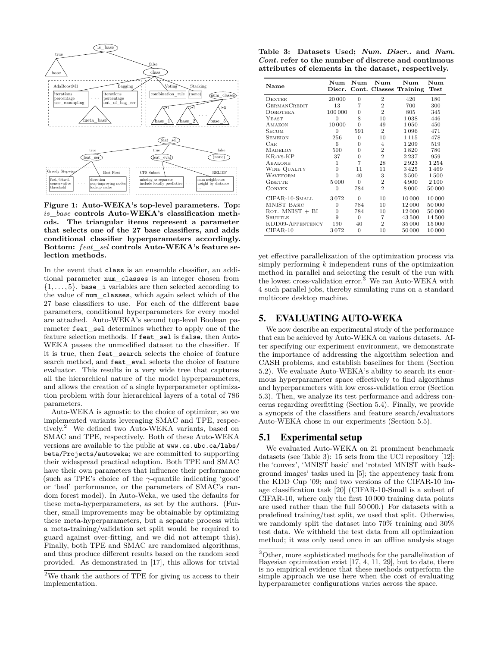

**Figure 1: Auto-WEKA's top-level parameters. Top:** *is***\_***base* **controls Auto-WEKA's classification methods. The triangular items represent a parameter that selects one of the 27 base classifiers, and adds conditional classifier hyperparameters accordingly. Bottom:** *feat***\_***sel* **controls Auto-WEKA's feature selection methods.**

In the event that class is an ensemble classifier, an additional parameter num\_classes is an integer chosen from {1*, . . . ,* 5}. base\_i variables are then selected according to the value of num\_classes, which again select which of the 27 base classifiers to use. For each of the different base parameters, conditional hyperparameters for every model are attached. Auto-WEKA's second top-level Boolean parameter feat\_sel determines whether to apply one of the feature selection methods. If feat\_sel is false, then Auto-WEKA passes the unmodified dataset to the classifier. If it is true, then feat search selects the choice of feature search method, and feat\_eval selects the choice of feature evaluator. This results in a very wide tree that captures all the hierarchical nature of the model hyperparameters, and allows the creation of a single hyperparameter optimization problem with four hierarchical layers of a total of 786 parameters.

Auto-WEKA is agnostic to the choice of optimizer, so we implemented variants leveraging SMAC and TPE, respectively.<sup>2</sup> We defined two Auto-WEKA variants, based on SMAC and TPE, respectively. Both of these Auto-WEKA versions are available to the public at www.cs.ubc.ca/labs/ beta/Projects/autoweka; we are committed to supporting their widespread practical adoption. Both TPE and SMAC have their own parameters that influence their performance (such as TPE's choice of the *γ*-quantile indicating 'good' or 'bad' performance, or the parameters of SMAC's random forest model). In Auto-Weka, we used the defaults for these meta-hyperparameters, as set by the authors. (Further, small improvements may be obtainable by optimizing these meta-hyperparameters, but a separate process with a meta-training/validation set split would be required to guard against over-fitting, and we did not attempt this). Finally, both TPE and SMAC are randomized algorithms, and thus produce different results based on the random seed provided. As demonstrated in [17], this allows for trivial

**Table 3: Datasets Used;** *Num. Discr.***. and** *Num. Cont***. refer to the number of discrete and continuous attributes of elements in the dataset, respectively.**

| Name                | Num<br>Discr. | Num      | Num            | Num<br>Cont. Classes Training | Num<br>Test |
|---------------------|---------------|----------|----------------|-------------------------------|-------------|
| <b>DEXTER</b>       | 20 000        | $\theta$ | $\overline{2}$ | 420                           | 180         |
| <b>GERMANCREDIT</b> | 13            | 7        | $\overline{2}$ | 700                           | 300         |
| DOROTHEA            | 100 000       | 0        | $\overline{2}$ | 805                           | 345         |
| YEAST               | $\theta$      | 8        | 10             | 1038                          | 446         |
| AMAZON              | 10 000        | $\theta$ | 49             | 1050                          | 450         |
| SECOM               | $\theta$      | 591      | $\overline{2}$ | 1096                          | 471         |
| <b>SEMEION</b>      | 256           | $\Omega$ | 10             | 1115                          | 478         |
| $_{\rm CAR}$        | 6             | 0        | $\overline{4}$ | 1209                          | 519         |
| <b>MADELON</b>      | 500           | 0        | $\overline{2}$ | 1820                          | 780         |
| KR-vs-KP            | 37            | $\Omega$ | $\overline{2}$ | 2237                          | 959         |
| ABALONE             | 1             | 7        | 28             | 2923                          | 1254        |
| WINE QUALITY        | $\Omega$      | 11       | 11             | 3425                          | 1469        |
| <b>WAVEFORM</b>     | $\Omega$      | 40       | 3              | 3500                          | 1500        |
| <b>GISETTE</b>      | 5000          | $\theta$ | $\overline{2}$ | 4900                          | 2 1 0 0     |
| <b>CONVEX</b>       | $\theta$      | 784      | $\overline{2}$ | 8000                          | 50 000      |
| CIFAR-10-SMALL      | 3072          | $\Omega$ | 10             | 10 000                        | 10 000      |
| <b>MNIST BASIC</b>  | 0             | 784      | 10             | 12000                         | 50000       |
| ROT. MNIST + BI     | 0             | 784      | 10             | 12000                         | 50000       |
| <b>SHUTTLE</b>      | 9             | $\theta$ | 7              | 43500                         | 14500       |
| KDD09-APPENTENCY    | 190           | 40       | $\overline{2}$ | 35000                         | 15 000      |
| $CIFAR-10$          | 3072          | 0        | 10             | 50000                         | 10000       |

yet effective parallelization of the optimization process via simply performing *k* independent runs of the optimization method in parallel and selecting the result of the run with the lowest cross-validation error.<sup>3</sup> We ran Auto-WEKA with 4 such parallel jobs, thereby simulating runs on a standard multicore desktop machine.

# 5. EVALUATING AUTO-WEKA

We now describe an experimental study of the performance that can be achieved by Auto-WEKA on various datasets. After specifying our experiment environment, we demonstrate the importance of addressing the algorithm selection and CASH problems, and establish baselines for them (Section 5.2). We evaluate Auto-WEKA's ability to search its enormous hyperparameter space effectively to find algorithms and hyperparameters with low cross-validation error (Section 5.3). Then, we analyze its test performance and address concerns regarding overfitting (Section 5.4). Finally, we provide a synopsis of the classifiers and feature search/evaluators Auto-WEKA chose in our experiments (Section 5.5).

## 5.1 Experimental setup

We evaluated Auto-WEKA on 21 prominent benchmark datasets (see Table 3): 15 sets from the UCI repository [12]; the 'convex', 'MNIST basic' and 'rotated MNIST with background images' tasks used in [5]; the appentency task from the KDD Cup '09; and two versions of the CIFAR-10 image classification task [20] (CIFAR-10-Small is a subset of CIFAR-10, where only the first 10 000 training data points are used rather than the full 50 000.) For datasets with a predefined training/test split, we used that split. Otherwise, we randomly split the dataset into 70% training and 30% test data. We withheld the test data from all optimization method; it was only used once in an offline analysis stage

<sup>2</sup>We thank the authors of TPE for giving us access to their implementation.

<sup>3</sup>Other, more sophisticated methods for the parallelization of Bayesian optimization exist [17, 4, 11, 29], but to date, there is no empirical evidence that these methods outperform the simple approach we use here when the cost of evaluating hyperparameter configurations varies across the space.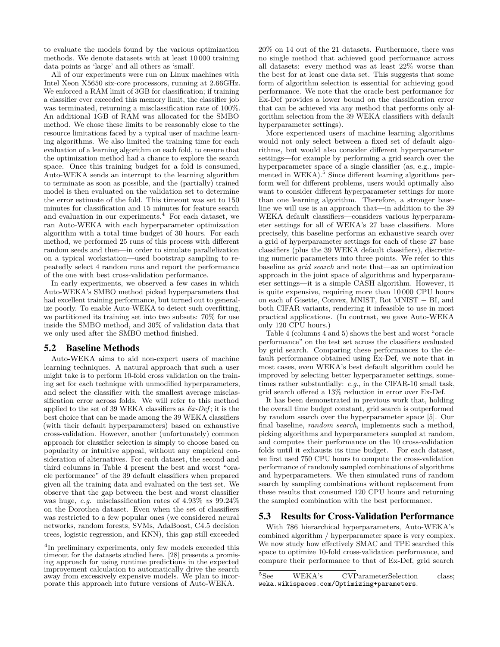to evaluate the models found by the various optimization methods. We denote datasets with at least 10 000 training data points as 'large' and all others as 'small'.

All of our experiments were run on Linux machines with Intel Xeon X5650 six-core processors, running at 2.66GHz. We enforced a RAM limit of 3GB for classification; if training a classifier ever exceeded this memory limit, the classifier job was terminated, returning a misclassification rate of 100%. An additional 1GB of RAM was allocated for the SMBO method. We chose these limits to be reasonably close to the resource limitations faced by a typical user of machine learning algorithms. We also limited the training time for each evaluation of a learning algorithm on each fold, to ensure that the optimization method had a chance to explore the search space. Once this training budget for a fold is consumed, Auto-WEKA sends an interrupt to the learning algorithm to terminate as soon as possible, and the (partially) trained model is then evaluated on the validation set to determine the error estimate of the fold. This timeout was set to 150 minutes for classification and 15 minutes for feature search and evaluation in our experiments.<sup>4</sup> For each dataset, we ran Auto-WEKA with each hyperparameter optimization algorithm with a total time budget of 30 hours. For each method, we performed 25 runs of this process with different random seeds and then—in order to simulate parallelization on a typical workstation—used bootstrap sampling to repeatedly select 4 random runs and report the performance of the one with best cross-validation performance.

In early experiments, we observed a few cases in which Auto-WEKA's SMBO method picked hyperparameters that had excellent training performance, but turned out to generalize poorly. To enable Auto-WEKA to detect such overfitting, we partitioned its training set into two subsets: 70% for use inside the SMBO method, and 30% of validation data that we only used after the SMBO method finished.

#### 5.2 Baseline Methods

Auto-WEKA aims to aid non-expert users of machine learning techniques. A natural approach that such a user might take is to perform 10-fold cross validation on the training set for each technique with unmodified hyperparameters, and select the classifier with the smallest average misclassification error across folds. We will refer to this method applied to the set of 39 WEKA classifiers as *Ex-Def* ; it is the best choice that can be made among the 39 WEKA classifiers (with their default hyperparameters) based on exhaustive cross-validation. However, another (unfortunately) common approach for classifier selection is simply to choose based on popularity or intuitive appeal, without any empirical consideration of alternatives. For each dataset, the second and third columns in Table 4 present the best and worst "oracle performance" of the 39 default classifiers when prepared given all the training data and evaluated on the test set. We observe that the gap between the best and worst classifier was huge, *e.g.* misclassification rates of 4.93% *vs* 99.24% on the Dorothea dataset. Even when the set of classifiers was restricted to a few popular ones (we considered neural networks, random forests, SVMs, AdaBoost, C4.5 decision trees, logistic regression, and KNN), this gap still exceeded

20% on 14 out of the 21 datasets. Furthermore, there was no single method that achieved good performance across all datasets: every method was at least 22% worse than the best for at least one data set. This suggests that some form of algorithm selection is essential for achieving good performance. We note that the oracle best performance for Ex-Def provides a lower bound on the classification error that can be achieved via any method that performs only algorithm selection from the 39 WEKA classifiers with default hyperparameter settings).

More experienced users of machine learning algorithms would not only select between a fixed set of default algorithms, but would also consider different hyperparameter settings—for example by performing a grid search over the hyperparameter space of a single classifier (as, e.g., implemented in  $WEKA$ <sup>5</sup>. Since different learning algorithms perform well for different problems, users would optimally also want to consider different hyperparameter settings for more than one learning algorithm. Therefore, a stronger baseline we will use is an approach that—in addition to the 39 WEKA default classifiers—considers various hyperparameter settings for all of WEKA's 27 base classifiers. More precisely, this baseline performs an exhaustive search over a grid of hyperparameter settings for each of these 27 base classifiers (plus the 39 WEKA default classifiers), discretizing numeric parameters into three points. We refer to this baseline as *grid search* and note that—as an optimization approach in the joint space of algorithms and hyperparameter settings—it is a simple CASH algorithm. However, it is quite expensive, requiring more than 10 000 CPU hours on each of Gisette, Convex, MNIST, Rot MNIST + BI, and both CIFAR variants, rendering it infeasible to use in most practical applications. (In contrast, we gave Auto-WEKA only 120 CPU hours.)

Table 4 (columns 4 and 5) shows the best and worst "oracle performance" on the test set across the classifiers evaluated by grid search. Comparing these performances to the default performance obtained using Ex-Def, we note that in most cases, even WEKA's best default algorithm could be improved by selecting better hyperparameter settings, sometimes rather substantially: *e.g.*, in the CIFAR-10 small task, grid search offered a 13% reduction in error over Ex-Def.

It has been demonstrated in previous work that, holding the overall time budget constant, grid search is outperformed by random search over the hyperparameter space [5]. Our final baseline, *random search*, implements such a method, picking algorithms and hyperparameters sampled at random, and computes their performance on the 10 cross-validation folds until it exhausts its time budget. For each dataset, we first used 750 CPU hours to compute the cross-validation performance of randomly sampled combinations of algorithms and hyperparameters. We then simulated runs of random search by sampling combinations without replacement from these results that consumed 120 CPU hours and returning the sampled combination with the best performance.

#### 5.3 Results for Cross-Validation Performance

With 786 hierarchical hyperparameters, Auto-WEKA's combined algorithm / hyperparameter space is very complex. We now study how effectively SMAC and TPE searched this space to optimize 10-fold cross-validation performance, and compare their performance to that of Ex-Def, grid search

<sup>4</sup> In preliminary experiments, only few models exceeded this timeout for the datasets studied here. [28] presents a promising approach for using runtime predictions in the expected improvement calculation to automatically drive the search away from excessively expensive models. We plan to incorporate this approach into future versions of Auto-WEKA.

<sup>&</sup>lt;sup>5</sup>See WEKA's CVParameterSelection class; weka.wikispaces.com/Optimizing+parameters.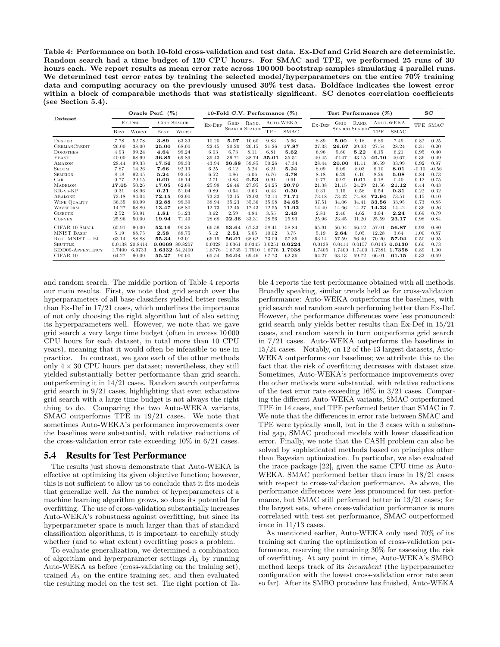**Table 4: Performance on both 10-fold cross-validation and test data. Ex-Def and Grid Search are deterministic. Random search had a time budget of 120 CPU hours. For SMAC and TPE, we performed 25 runs of 30 hours each. We report results as mean error rate across 100 000 bootstrap samples simulating 4 parallel runs. We determined test error rates by training the selected model/hyperparameters on the entire 70% training data and computing accuracy on the previously unused 30% test data. Boldface indicates the lowest error within a block of comparable methods that was statistically significant. SC denotes correlation coefficients (see Section 5.4).**

|                     | Oracle Perf. $(\%)$ |              |                    | 10-Fold C.V. Performance $(\%)$ |               |             |                    | Test Performance (%) |        |                       |        |        | $_{\rm sc}$ |           |         |          |
|---------------------|---------------------|--------------|--------------------|---------------------------------|---------------|-------------|--------------------|----------------------|--------|-----------------------|--------|--------|-------------|-----------|---------|----------|
| Dataset             | EX-DEF              |              | <b>GRID SEARCH</b> |                                 | EX-DEF        | <b>GRID</b> | AUTO-WEKA<br>RAND. |                      |        | <b>GRID</b><br>EX-DEF |        | RAND.  |             | AUTO-WEKA |         | TPE SMAC |
|                     | <b>BEST</b>         | <b>WORST</b> | <b>BEST</b>        | <b>WORST</b>                    | SEARCH SEARCH |             | TPE                | <b>SMAC</b>          |        | <b>SEARCH SEARCH</b>  |        | TPE    | <b>SMAC</b> |           |         |          |
| <b>DEXTER</b>       | 7.78                | 52.78        | 3.89               | 63.33                           | 10.20         | 5.07        | 10.60              | 9.83                 | 5.66   | 8.89                  | 5.00   | 9.18   | 8.89        | 7.49      | 0.82    | 0.25     |
| <b>GERMANCREDIT</b> | 26.00               | 38.00        | 25.00              | 68.00                           | 22.45         | 20.20       | 20.15              | 21.26                | 17.87  | 27.33                 | 26.67  | 29.03  | 27.54       | 28.24     | 0.31    | 0.20     |
| <b>DOROTHEA</b>     | 4.93                | 99.24        | 4.64               | 99.24                           | 6.03          | 6.73        | 8.11               | 6.81                 | 5.62   | 6.96                  | 5.80   | 5.22   | 6.15        | 6.21      | 0.95    | 0.40     |
| YEAST               | 40.00               | 68.99        | 36.85              | 69.89                           | 39.43         | 39.71       | 38.74              | 35.01                | 35.51  | 40.45                 | 42.47  | 43.15  | 40.10       | 40.67     | 0.36    | 0.49     |
| AMAZON              | 28.44               | 99.33        | 17.56              | 99.33                           | 43.94         | 36.88       | 59.85              | 50.26                | 47.34  | 28.44                 | 20.00  | 41.11  | 36.59       | 33.99     | 0.92    | 0.97     |
| <b>SECOM</b>        | 7.87                | 14.26        | 7.66               | 92.13                           | 6.25          | 6.12        | 5.24               | 6.21                 | 5.24   | 8.09                  | 8.09   | 8.03   | 8.10        | 8.01      | $-0.10$ | $-0.56$  |
| <b>SEMEION</b>      | 8.18                | 92.45        | 5.24               | 92.45                           | 6.52          | 4.86        | 6.06               | 6.76                 | 4.78   | 8.18                  | 6.29   | 6.10   | 8.26        | 5.08      | 0.84    | 0.73     |
| $_{\rm CAR}$        | 0.77                | 29.15        | 0.00               | 46.14                           | 2.71          | 0.83        | 0.53               | 0.91                 | 0.61   | 0.77                  | 0.97   | 0.01   | 0.18        | 0.40      | 0.12    | 0.75     |
| <b>MADELON</b>      | 17.05               | 50.26        | 17.05              | 62.69                           | 25.98         | 26.46       | 27.95              | 24.25                | 20.70  | 21.38                 | 21.15  | 24.29  | 21.56       | 21.12     | 0.44    | 0.43     |
| $KR-vs-KP$          | 0.31                | 48.96        | 0.21               | 51.04                           | 0.89          | 0.64        | 0.63               | 0.43                 | 0.30   | 0.31                  | 1.15   | 0.58   | 0.54        | 0.31      | 0.22    | 0.32     |
| ABALONE             | 73.18               | 84.04        | 72.15              | 92.90                           | 73.33         | 72.15       | 72.03              | 72.14                | 71.71  | 73.18                 | 73.42  | 74.88  | 72.94       | 73.51     | 0.15    | 0.10     |
| <b>WINE QUALITY</b> | 36.35               | 60.99        | 32.88              | 99.39                           | 38.94         | 35.23       | 35.36              | 35.98                | 34.65  | 37.51                 | 34.06  | 34.41  | 33.56       | 33.95     | 0.73    | 0.85     |
| <b>WAVEFORM</b>     | 14.27               | 68.80        | 13.47              | 68.80                           | 12.73         | 12.45       | 12.43              | 12.55                | 11.92  | 14.40                 | 14.66  | 14.27  | 14.23       | 14.42     | 0.36    | 0.26     |
| <b>GISETTE</b>      | 2.52                | 50.91        | 1.81               | 51.23                           | 3.62          | 2.59        | 4.84               | 3.55                 | 2.43   | 2.81                  | 2.40   | 4.62   | 3.94        | 2.24      | 0.69    | 0.79     |
| <b>CONVEX</b>       | 25.96               | 50.00        | 19.94              | 71.49                           | 28.68         | 22.36       | 33.31              | 28.56                | 25.93  | 25.96                 | 23.45  | 31.20  | 25.59       | 23.17     | 0.98    | 0.84     |
| CIFAR-10-SMALL      | 65.91               | 90.00        | 52.16              | 90.36                           | 66.59         | 53.64       | 67.33              | 58.41                | 58.84  | 65.91                 | 56.94  | 66.12  | 57.01       | 56.87     | 0.93    | 0.80     |
| MNIST BASIC         | 5.19                | 88.75        | 2.58               | 88.75                           | 5.12          | 2.51        | 5.05               | 10.02                | 3.75   | 5.19                  | 2.64   | 5.05   | 12.28       | 3.64      | 1.00    | 0.87     |
| ROT. $MNIST + BI$   | 63.14               | 88.88        | 55.34              | 93.01                           | 66.15         | 56.01       | 68.62              | 73.09                | 57.86  | 63.14                 | 57.59  | 66.40  | 70.20       | 57.04     | 0.50    | 0.95     |
| <b>SHUTTLE</b>      | 0.0138              | 20.8414      | 0.0069             | 89.8207                         | 0.0328        | 0.0361      | 0.0345             | 0.0251               | 0.0224 | 0.0138                | 0.0414 | 0.0157 | 0.0145      | 0.0130    | 0.60    | 0.73     |
| KDD09-APPENTENCY    | 1.7400              | 6.9733       | 1.6332 54.2400     |                                 | 1.8776        | 1.8735      | 1.7510             | 1.8776               | 1.7038 | 1.7405                | 1.7400 | 1.7400 | 1.7381      | 1.7358    | 0.89    | 1.00     |
| $CIFAR-10$          | 64.27               | 90.00        | 55.27              | 90.00                           | 65.54         | 54.04       | 69.46              | 67.73                | 62.36  | 64.27                 | 63.13  | 69.72  | 66.01       | 61.15     | 0.33    | 0.69     |

and random search. The middle portion of Table 4 reports our main results. First, we note that grid search over the hyperparameters of all base-classifiers yielded better results than Ex-Def in 17/21 cases, which underlines the importance of not only choosing the right algorithm but of also setting its hyperparameters well. However, we note that we gave grid search a very large time budget (often in excess 10 000 CPU hours for each dataset, in total more than 10 CPU years), meaning that it would often be infeasible to use in practice. In contrast, we gave each of the other methods only  $4 \times 30$  CPU hours per dataset; nevertheless, they still yielded substantially better performance than grid search, outperforming it in 14/21 cases. Random search outperforms grid search in 9/21 cases, highlighting that even exhaustive grid search with a large time budget is not always the right thing to do. Comparing the two Auto-WEKA variants, SMAC outperforms TPE in 19/21 cases. We note that sometimes Auto-WEKA's performance improvements over the baselines were substantial, with relative reductions of the cross-validation error rate exceeding 10% in 6/21 cases.

#### 5.4 Results for Test Performance

The results just shown demonstrate that Auto-WEKA is effective at optimizing its given objective function; however, this is not sufficient to allow us to conclude that it fits models that generalize well. As the number of hyperparameters of a machine learning algorithm grows, so does its potential for overfitting. The use of cross-validation substantially increases Auto-WEKA's robustness against overfitting, but since its hyperparameter space is much larger than that of standard classification algorithms, it is important to carefully study whether (and to what extent) overfitting poses a problem.

To evaluate generalization, we determined a combination of algorithm and hyperparameter settings  $A_\lambda$  by running Auto-WEKA as before (cross-validating on the training set), trained  $A_{\lambda}$  on the entire training set, and then evaluated the resulting model on the test set. The right portion of Table 4 reports the test performance obtained with all methods. Broadly speaking, similar trends held as for cross-validation performance: Auto-WEKA outperforms the baselines, with grid search and random search performing better than Ex-Def. However, the performance differences were less pronounced: grid search only yields better results than Ex-Def in 15/21 cases, and random search in turn outperforms grid search in 7/21 cases. Auto-WEKA outperforms the baselines in 15/21 cases. Notably, on 12 of the 13 largest datasets, Auto-WEKA outperforms our baselines; we attribute this to the fact that the risk of overfitting decreases with dataset size. Sometimes, Auto-WEKA's performance improvements over the other methods were substantial, with relative reductions of the test error rate exceeding 16% in 3/21 cases. Comparing the different Auto-WEKA variants, SMAC outperformed TPE in 14 cases, and TPE performed better than SMAC in 7. We note that the differences in error rate between SMAC and TPE were typically small, but in the 3 cases with a substantial gap, SMAC produced models with lower classification error. Finally, we note that the CASH problem can also be solved by sophisticated methods based on principles other than Bayesian optimization. In particular, we also evaluated the irace package [22], given the same CPU time as Auto-WEKA. SMAC performed better than irace in 18/21 cases with respect to cross-validation performance. As above, the performance differences were less pronounced for test performance, but SMAC still performed better in 13/21 cases; for the largest sets, where cross-validation performance is more correlated with test set performance, SMAC outperformed irace in 11/13 cases.

As mentioned earlier, Auto-WEKA only used 70% of its training set during the optimization of cross-validation performance, reserving the remaining 30% for assessing the risk of overfitting. At any point in time, Auto-WEKA's SMBO method keeps track of its *incumbent* (the hyperparameter configuration with the lowest cross-validation error rate seen so far). After its SMBO procedure has finished, Auto-WEKA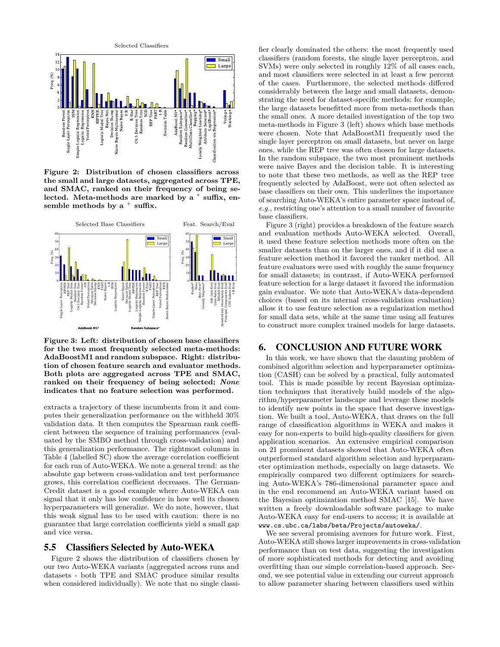

**Figure 2: Distribution of chosen classifiers across the small and large datasets, aggregated across TPE, and SMAC, ranked on their frequency of being selected. Meta-methods are marked by a** <sup>∗</sup> **suffix, ensemble methods by a** <sup>+</sup> **suffix.**



**Figure 3: Left: distribution of chosen base classifiers for the two most frequently selected meta-methods: AdaBoostM1 and random subspace. Right: distribution of chosen feature search and evaluator methods. Both plots are aggregated across TPE and SMAC, ranked on their frequency of being selected;** *None* **indicates that no feature selection was performed.**

extracts a trajectory of these incumbents from it and computes their generalization performance on the withheld 30% validation data. It then computes the Spearman rank coefficient between the sequence of training performances (evaluated by the SMBO method through cross-validation) and this generalization performance. The rightmost columns in Table 4 (labelled SC) show the average correlation coefficient for each run of Auto-WEKA. We note a general trend: as the absolute gap between cross-validation and test performance grows, this correlation coefficient decreases. The German-Credit dataset is a good example where Auto-WEKA can signal that it only has low confidence in how well its chosen hyperparameters will generalize. We do note, however, that this weak signal has to be used with caution: there is no guarantee that large correlation coefficients yield a small gap and vice versa.

#### 5.5 Classifiers Selected by Auto-WEKA

Figure 2 shows the distribution of classifiers chosen by our two Auto-WEKA variants (aggregated across runs and datasets - both TPE and SMAC produce similar results when considered individually). We note that no single classifier clearly dominated the others: the most frequently used classifiers (random forests, the single layer perceptron, and SVMs) were only selected in roughly 12% of all cases each, and most classifiers were selected in at least a few percent of the cases. Furthermore, the selected methods differed considerably between the large and small datasets, demonstrating the need for dataset-specific methods; for example, the large datasets benefitted more from meta-methods than the small ones. A more detailed investigation of the top two meta-methods in Figure 3 (left) shows which base methods were chosen. Note that AdaBoostM1 frequently used the single layer perceptron on small datasets, but never on large ones, while the REP tree was often chosen for large datasets. In the random subspace, the two most prominent methods were naive Bayes and the decision table. It is interesting to note that these two methods, as well as the REP tree frequently selected by AdaBoost, were not often selected as base classifiers on their own. This underlines the importance of searching Auto-WEKA's entire parameter space instead of, *e.g.*, restricting one's attention to a small number of favourite base classifiers.

Figure 3 (right) provides a breakdown of the feature search and evaluation methods Auto-WEKA selected. Overall, it used these feature selection methods more often on the smaller datasets than on the larger ones, and if it did use a feature selection method it favored the ranker method. All feature evaluators were used with roughly the same frequency for small datasets; in contrast, if Auto-WEKA performed feature selection for a large dataset it favored the information gain evaluator. We note that Auto-WEKA's data-dependent choices (based on its internal cross-validation evaluation) allow it to use feature selection as a regularization method for small data sets, while at the same time using all features to construct more complex trained models for large datasets.

#### 6. CONCLUSION AND FUTURE WORK

In this work, we have shown that the daunting problem of combined algorithm selection and hyperparameter optimization (CASH) can be solved by a practical, fully automated tool. This is made possible by recent Bayesian optimization techniques that iteratively build models of the algorithm/hyperparameter landscape and leverage these models to identify new points in the space that deserve investigation. We built a tool, Auto-WEKA, that draws on the full range of classification algorithms in WEKA and makes it easy for non-experts to build high-quality classifiers for given application scenarios. An extensive empirical comparison on 21 prominent datasets showed that Auto-WEKA often outperformed standard algorithm selection and hyperparameter optimization methods, especially on large datasets. We empirically compared two different optimizers for searching Auto-WEKA's 786-dimensional parameter space and in the end recommend an Auto-WEKA variant based on the Bayesian optimization method SMAC [15]. We have written a freely downloadable software package to make Auto-WEKA easy for end-users to access; it is available at www.cs.ubc.ca/labs/beta/Projects/autoweka/.

We see several promising avenues for future work. First, Auto-WEKA still shows larger improvements in cross-validation performance than on test data, suggesting the investigation of more sophisticated methods for detecting and avoiding overfitting than our simple correlation-based approach. Second, we see potential value in extending our current approach to allow parameter sharing between classifiers used within